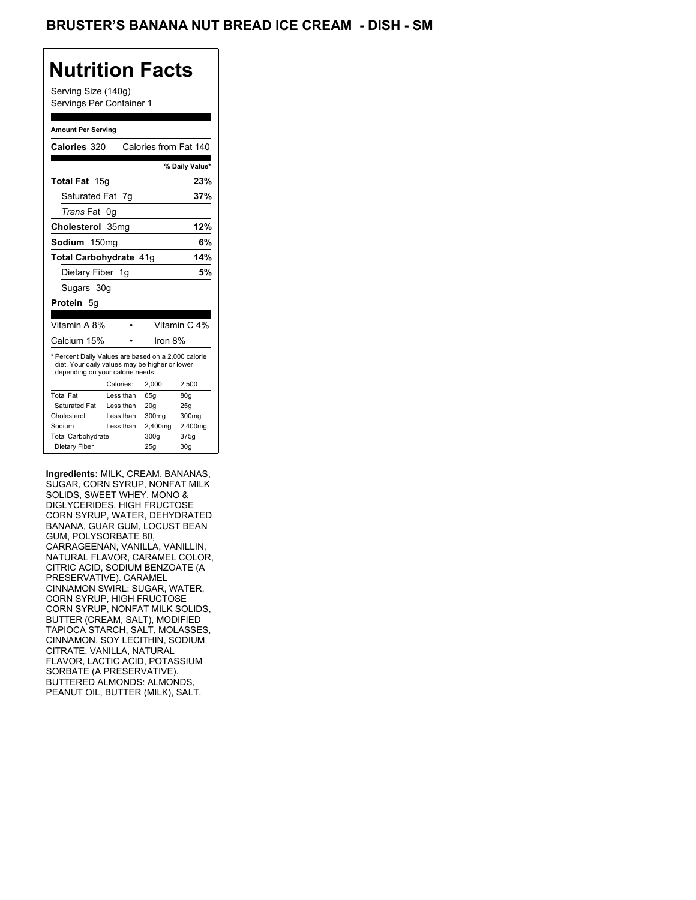## **Nutrition Facts**

Serving Size (140g) Servings Per Container 1

#### **Amount Per Serving**

| Calories 320                                                                                                                              |           | Calories from Fat 140 |                 |
|-------------------------------------------------------------------------------------------------------------------------------------------|-----------|-----------------------|-----------------|
|                                                                                                                                           |           |                       |                 |
|                                                                                                                                           |           |                       | % Daily Value*  |
| Total Fat 15g                                                                                                                             |           |                       | 23%             |
| Saturated Fat 7q                                                                                                                          |           |                       | 37%             |
| <i>Trans</i> Fat                                                                                                                          | 0g        |                       |                 |
| Cholesterol 35mg                                                                                                                          |           |                       | 12%             |
| Sodium 150mg                                                                                                                              |           |                       | 6%              |
| <b>Total Carbohydrate 41g</b>                                                                                                             |           |                       | 14%             |
| Dietary Fiber 1g                                                                                                                          |           |                       | 5%              |
| Sugars 30g                                                                                                                                |           |                       |                 |
| <b>Protein 5g</b>                                                                                                                         |           |                       |                 |
|                                                                                                                                           |           |                       |                 |
|                                                                                                                                           |           |                       |                 |
| Vitamin A 8%                                                                                                                              |           |                       | Vitamin C 4%    |
| Calcium 15%                                                                                                                               |           | Iron 8%               |                 |
| * Percent Daily Values are based on a 2,000 calorie<br>diet. Your daily values may be higher or lower<br>depending on your calorie needs: |           |                       |                 |
|                                                                                                                                           | Calories: | 2.000                 | 2,500           |
| <b>Total Fat</b>                                                                                                                          | Less than | 65q                   | 80 <sub>g</sub> |
| Saturated Fat                                                                                                                             | Less than | 20q                   | 25q             |
| Cholesterol                                                                                                                               | Less than | 300mg                 | 300mg           |
| Sodium                                                                                                                                    | Less than | 2,400mg               | 2,400mg         |
| <b>Total Carbohydrate</b>                                                                                                                 |           | 300g                  | 375g            |

**Ingredients:** MILK, CREAM, BANANAS, SUGAR, CORN SYRUP, NONFAT MILK SOLIDS, SWEET WHEY, MONO & DIGLYCERIDES, HIGH FRUCTOSE CORN SYRUP, WATER, DEHYDRATED BANANA, GUAR GUM, LOCUST BEAN GUM, POLYSORBATE 80, CARRAGEENAN, VANILLA, VANILLIN, NATURAL FLAVOR, CARAMEL COLOR, CITRIC ACID, SODIUM BENZOATE (A PRESERVATIVE). CARAMEL CINNAMON SWIRL: SUGAR, WATER, CORN SYRUP, HIGH FRUCTOSE CORN SYRUP, NONFAT MILK SOLIDS, BUTTER (CREAM, SALT), MODIFIED TAPIOCA STARCH, SALT, MOLASSES, CINNAMON, SOY LECITHIN, SODIUM CITRATE, VANILLA, NATURAL FLAVOR, LACTIC ACID, POTASSIUM SORBATE (A PRESERVATIVE). BUTTERED ALMONDS: ALMONDS, PEANUT OIL, BUTTER (MILK), SALT.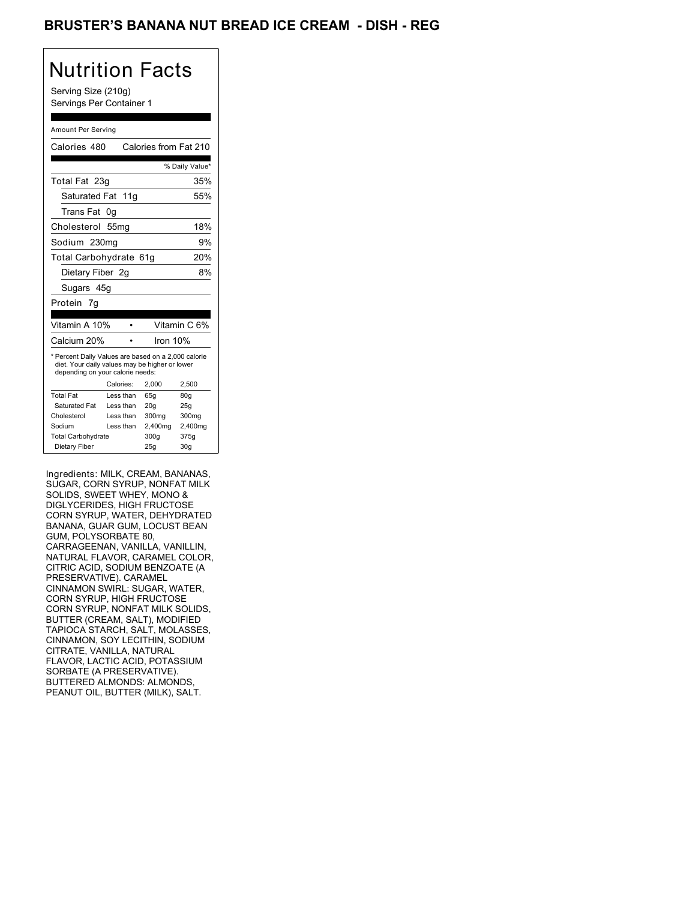## BRUSTER'S BANANA NUT BREAD ICE CREAM - DISH - REG

## Nutrition Facts

Serving Size (210g) Servings Per Container 1

#### Amount Per Serving

| Calories 480                                                                                                                              |                  | Calories from Fat 210 |                 |
|-------------------------------------------------------------------------------------------------------------------------------------------|------------------|-----------------------|-----------------|
|                                                                                                                                           |                  |                       | % Daily Value*  |
| Total Fat 23g                                                                                                                             |                  |                       | 35%             |
| Saturated Fat 11q                                                                                                                         |                  |                       | 55%             |
| Trans Fat 0g                                                                                                                              |                  |                       |                 |
| Cholesterol                                                                                                                               | 55 <sub>mg</sub> |                       | 18%             |
| Sodium 230mg                                                                                                                              |                  |                       | 9%              |
| Total Carbohydrate 61g                                                                                                                    |                  |                       | 20%             |
| Dietary Fiber 2q                                                                                                                          |                  |                       | 8%              |
| Sugars 45g                                                                                                                                |                  |                       |                 |
| Protein 7q                                                                                                                                |                  |                       |                 |
| Vitamin A 10%                                                                                                                             |                  |                       | Vitamin C 6%    |
| Calcium 20%                                                                                                                               |                  | Iron 10%              |                 |
| * Percent Daily Values are based on a 2,000 calorie<br>diet. Your daily values may be higher or lower<br>depending on your calorie needs: |                  |                       |                 |
|                                                                                                                                           | Calories:        | 2.000                 | 2,500           |
| <b>Total Fat</b>                                                                                                                          | Less than        | 65q                   | 80g             |
| Saturated Fat                                                                                                                             | Less than        | 20q                   | 25g             |
| Cholesterol                                                                                                                               | Less than        | 300 <sub>mg</sub>     | 300mg           |
| Sodium                                                                                                                                    | Less than        | 2,400mg               | 2,400mg         |
| <b>Total Carbohydrate</b>                                                                                                                 |                  | 300q                  | 375g            |
| Dietary Fiber                                                                                                                             |                  | 25g                   | 30 <sub>g</sub> |

Ingredients: MILK, CREAM, BANANAS, SUGAR, CORN SYRUP, NONFAT MILK SOLIDS, SWEET WHEY, MONO & DIGLYCERIDES, HIGH FRUCTOSE CORN SYRUP, WATER, DEHYDRATED BANANA, GUAR GUM, LOCUST BEAN GUM, POLYSORBATE 80, CARRAGEENAN, VANILLA, VANILLIN, NATURAL FLAVOR, CARAMEL COLOR, CITRIC ACID, SODIUM BENZOATE (A PRESERVATIVE). CARAMEL CINNAMON SWIRL: SUGAR, WATER, CORN SYRUP, HIGH FRUCTOSE CORN SYRUP, NONFAT MILK SOLIDS, BUTTER (CREAM, SALT), MODIFIED TAPIOCA STARCH, SALT, MOLASSES, CINNAMON, SOY LECITHIN, SODIUM CITRATE, VANILLA, NATURAL FLAVOR, LACTIC ACID, POTASSIUM SORBATE (A PRESERVATIVE). BUTTERED ALMONDS: ALMONDS, PEANUT OIL, BUTTER (MILK), SALT.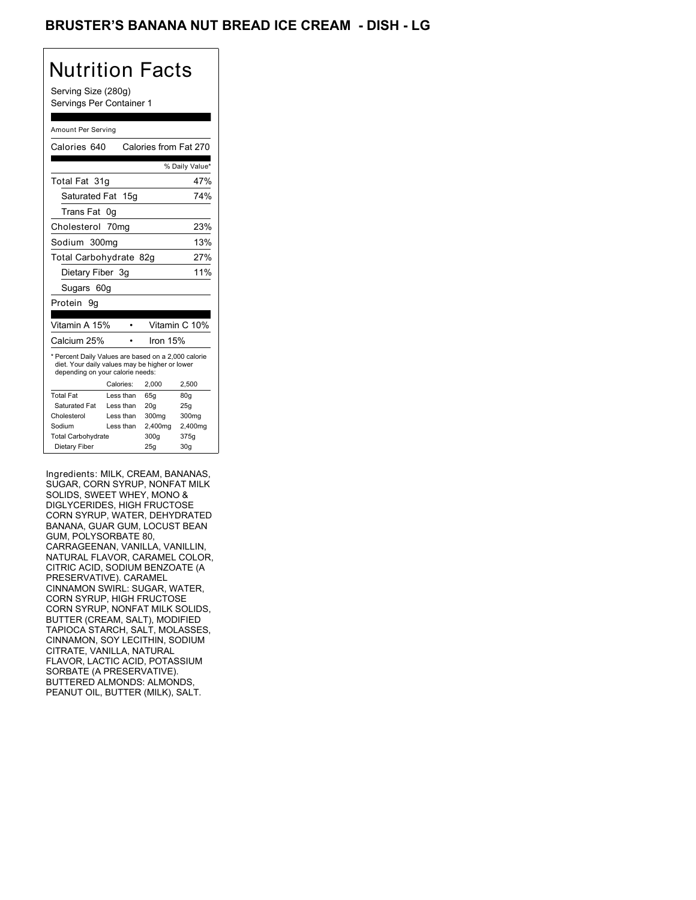## BRUSTER'S BANANA NUT BREAD ICE CREAM - DISH - LG

## Nutrition Facts

Serving Size (280g) Servings Per Container 1

#### Amount Per Serving

| Calories 640                                                                                                                              |                  | Calories from Fat 270 |                 |
|-------------------------------------------------------------------------------------------------------------------------------------------|------------------|-----------------------|-----------------|
|                                                                                                                                           |                  |                       | % Daily Value*  |
| Total Fat 31q                                                                                                                             |                  |                       | 47%             |
| Saturated Fat 15g                                                                                                                         |                  |                       | 74%             |
| Trans Fat                                                                                                                                 | 0g               |                       |                 |
| Cholesterol                                                                                                                               | 70 <sub>mq</sub> |                       | 23%             |
| Sodium 300mg                                                                                                                              |                  |                       | 13%             |
| Total Carbohydrate 82g                                                                                                                    |                  |                       | 27%             |
| Dietary Fiber 3g                                                                                                                          |                  |                       | 11%             |
| Sugars 60g                                                                                                                                |                  |                       |                 |
| Protein<br>9g                                                                                                                             |                  |                       |                 |
|                                                                                                                                           |                  |                       |                 |
| Vitamin A 15%                                                                                                                             |                  |                       | Vitamin C 10%   |
| Calcium 25%                                                                                                                               |                  | Iron 15%              |                 |
| * Percent Daily Values are based on a 2,000 calorie<br>diet. Your daily values may be higher or lower<br>depending on your calorie needs: |                  |                       |                 |
|                                                                                                                                           | Calories:        | 2,000                 | 2,500           |
| <b>Total Fat</b>                                                                                                                          | Less than        | 65g                   | 80g             |
| Saturated Fat                                                                                                                             | Less than        | 20q                   | 25g             |
| Cholesterol                                                                                                                               | Less than        | 300mg                 | 300mg           |
| Sodium                                                                                                                                    | Less than        | 2,400mg               | 2,400mg         |
| <b>Total Carbohydrate</b>                                                                                                                 |                  | 300q                  | 375g            |
| Dietary Fiber                                                                                                                             |                  | 25g                   | 30 <sub>g</sub> |
|                                                                                                                                           |                  |                       |                 |

Ingredients: MILK, CREAM, BANANAS, SUGAR, CORN SYRUP, NONFAT MILK SOLIDS, SWEET WHEY, MONO & DIGLYCERIDES, HIGH FRUCTOSE CORN SYRUP, WATER, DEHYDRATED BANANA, GUAR GUM, LOCUST BEAN GUM, POLYSORBATE 80, CARRAGEENAN, VANILLA, VANILLIN, NATURAL FLAVOR, CARAMEL COLOR, CITRIC ACID, SODIUM BENZOATE (A PRESERVATIVE). CARAMEL CINNAMON SWIRL: SUGAR, WATER, CORN SYRUP, HIGH FRUCTOSE CORN SYRUP, NONFAT MILK SOLIDS, BUTTER (CREAM, SALT), MODIFIED TAPIOCA STARCH, SALT, MOLASSES, CINNAMON, SOY LECITHIN, SODIUM CITRATE, VANILLA, NATURAL FLAVOR, LACTIC ACID, POTASSIUM SORBATE (A PRESERVATIVE). BUTTERED ALMONDS: ALMONDS, PEANUT OIL, BUTTER (MILK), SALT.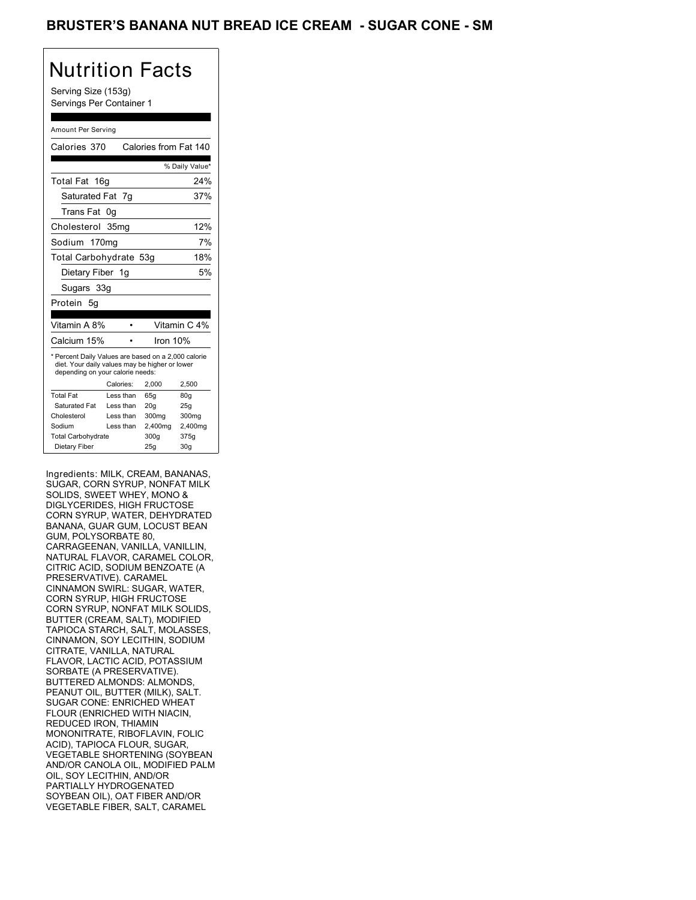## BRUSTER'S BANANA NUT BREAD ICE CREAM - SUGAR CONE - SM

## Nutrition Facts

Serving Size (153g) Servings Per Container 1

#### Amount Per Serving

| Calories 370                                                                                                                              |                  | Calories from Fat 140 |                 |
|-------------------------------------------------------------------------------------------------------------------------------------------|------------------|-----------------------|-----------------|
|                                                                                                                                           |                  |                       | % Daily Value*  |
| Total Fat 16g                                                                                                                             |                  |                       | 24%             |
| Saturated Fat 7g                                                                                                                          |                  |                       | 37%             |
| Trans Fat                                                                                                                                 | 0g               |                       |                 |
| Cholesterol                                                                                                                               | 35 <sub>mq</sub> |                       | 12%             |
| Sodium 170mg                                                                                                                              |                  |                       | 7%              |
| Total Carbohydrate 53g                                                                                                                    |                  |                       | 18%             |
| Dietary Fiber 1g                                                                                                                          |                  |                       | 5%              |
| Sugars 33g                                                                                                                                |                  |                       |                 |
| Protein 5g                                                                                                                                |                  |                       |                 |
|                                                                                                                                           |                  |                       |                 |
| Vitamin A 8%                                                                                                                              |                  |                       | Vitamin C 4%    |
| Calcium 15%                                                                                                                               |                  | Iron 10%              |                 |
| * Percent Daily Values are based on a 2,000 calorie<br>diet. Your daily values may be higher or lower<br>depending on your calorie needs: |                  |                       |                 |
|                                                                                                                                           | Calories:        | 2.000                 | 2,500           |
| <b>Total Fat</b>                                                                                                                          | Less than        | 65q                   | 80q             |
| Saturated Fat                                                                                                                             | Less than        | 20q                   | 25g             |
| Cholesterol                                                                                                                               | Less than        | 300mg                 | 300mg           |
| Sodium                                                                                                                                    | Less than        | 2,400mg               | 2,400mg         |
| <b>Total Carbohydrate</b>                                                                                                                 |                  | 300q                  | 375g            |
| Dietary Fiber                                                                                                                             |                  | 25q                   | 30 <sub>g</sub> |

Ingredients: MILK, CREAM, BANANAS, SUGAR, CORN SYRUP, NONFAT MILK SOLIDS, SWEET WHEY, MONO & DIGLYCERIDES, HIGH FRUCTOSE CORN SYRUP, WATER, DEHYDRATED BANANA, GUAR GUM, LOCUST BEAN GUM, POLYSORBATE 80, CARRAGEENAN, VANILLA, VANILLIN, NATURAL FLAVOR, CARAMEL COLOR, CITRIC ACID, SODIUM BENZOATE (A PRESERVATIVE). CARAMEL CINNAMON SWIRL: SUGAR, WATER, CORN SYRUP, HIGH FRUCTOSE CORN SYRUP, NONFAT MILK SOLIDS, BUTTER (CREAM, SALT), MODIFIED TAPIOCA STARCH, SALT, MOLASSES, CINNAMON, SOY LECITHIN, SODIUM CITRATE, VANILLA, NATURAL FLAVOR, LACTIC ACID, POTASSIUM SORBATE (A PRESERVATIVE). BUTTERED ALMONDS: ALMONDS, PEANUT OIL, BUTTER (MILK), SALT. SUGAR CONE: ENRICHED WHEAT FLOUR (ENRICHED WITH NIACIN, REDUCED IRON, THIAMIN MONONITRATE, RIBOFLAVIN, FOLIC ACID), TAPIOCA FLOUR, SUGAR, VEGETABLE SHORTENING (SOYBEAN AND/OR CANOLA OIL, MODIFIED PALM OIL, SOY LECITHIN, AND/OR PARTIALLY HYDROGENATED SOYBEAN OIL), OAT FIBER AND/OR VEGETABLE FIBER, SALT, CARAMEL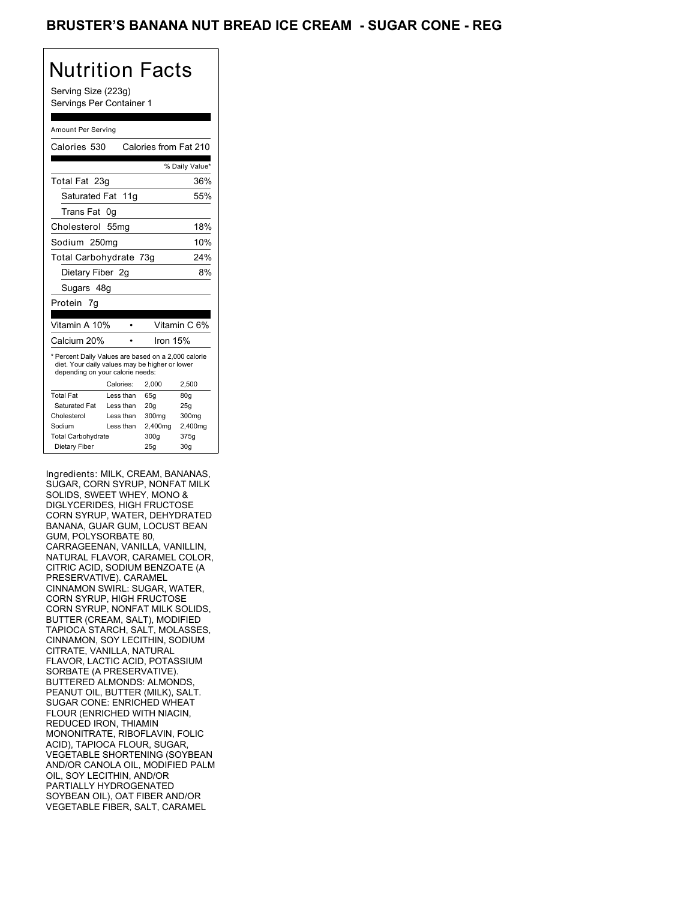## BRUSTER'S BANANA NUT BREAD ICE CREAM - SUGAR CONE - REG

# Nutrition Facts

Serving Size (223g) Servings Per Container 1

#### Amount Per Serving

| Calories 530                                                                                                                              |           | Calories from Fat 210 |                 |
|-------------------------------------------------------------------------------------------------------------------------------------------|-----------|-----------------------|-----------------|
|                                                                                                                                           |           |                       | % Daily Value*  |
| Total Fat 23g                                                                                                                             |           |                       | 36%             |
| Saturated Fat 11g                                                                                                                         |           |                       | 55%             |
| Trans Fat                                                                                                                                 | 0g        |                       |                 |
| Cholesterol 55mg                                                                                                                          |           |                       | 18%             |
| Sodium 250mg                                                                                                                              |           |                       | 10%             |
| Total Carbohydrate 73g                                                                                                                    |           |                       | 24%             |
| Dietary Fiber 2g                                                                                                                          |           |                       | 8%              |
| Sugars 48g                                                                                                                                |           |                       |                 |
| Protein 7g                                                                                                                                |           |                       |                 |
|                                                                                                                                           |           |                       |                 |
| Vitamin A 10%                                                                                                                             |           |                       | Vitamin C 6%    |
| Calcium 20%                                                                                                                               |           | Iron 15%              |                 |
| * Percent Daily Values are based on a 2,000 calorie<br>diet. Your daily values may be higher or lower<br>depending on your calorie needs: |           |                       |                 |
|                                                                                                                                           | Calories: | 2,000                 | 2,500           |
| <b>Total Fat</b>                                                                                                                          | Less than | 65q                   | 80q             |
| Saturated Fat                                                                                                                             | Less than | 20 <sub>g</sub>       | 25g             |
| Cholesterol                                                                                                                               | Less than | 300mg                 | 300mg           |
| Sodium                                                                                                                                    | Less than | 2,400mg               | 2,400mg         |
| <b>Total Carbohydrate</b>                                                                                                                 |           | 300q                  | 375g            |
| Dietary Fiber                                                                                                                             |           | 25q                   | 30 <sub>g</sub> |

Ingredients: MILK, CREAM, BANANAS, SUGAR, CORN SYRUP, NONFAT MILK SOLIDS, SWEET WHEY, MONO & DIGLYCERIDES, HIGH FRUCTOSE CORN SYRUP, WATER, DEHYDRATED BANANA, GUAR GUM, LOCUST BEAN GUM, POLYSORBATE 80, CARRAGEENAN, VANILLA, VANILLIN, NATURAL FLAVOR, CARAMEL COLOR, CITRIC ACID, SODIUM BENZOATE (A PRESERVATIVE). CARAMEL CINNAMON SWIRL: SUGAR, WATER, CORN SYRUP, HIGH FRUCTOSE CORN SYRUP, NONFAT MILK SOLIDS, BUTTER (CREAM, SALT), MODIFIED TAPIOCA STARCH, SALT, MOLASSES, CINNAMON, SOY LECITHIN, SODIUM CITRATE, VANILLA, NATURAL FLAVOR, LACTIC ACID, POTASSIUM SORBATE (A PRESERVATIVE). BUTTERED ALMONDS: ALMONDS, PEANUT OIL, BUTTER (MILK), SALT. SUGAR CONE: ENRICHED WHEAT FLOUR (ENRICHED WITH NIACIN, REDUCED IRON, THIAMIN MONONITRATE, RIBOFLAVIN, FOLIC ACID), TAPIOCA FLOUR, SUGAR, VEGETABLE SHORTENING (SOYBEAN AND/OR CANOLA OIL, MODIFIED PALM OIL, SOY LECITHIN, AND/OR PARTIALLY HYDROGENATED SOYBEAN OIL), OAT FIBER AND/OR VEGETABLE FIBER, SALT, CARAMEL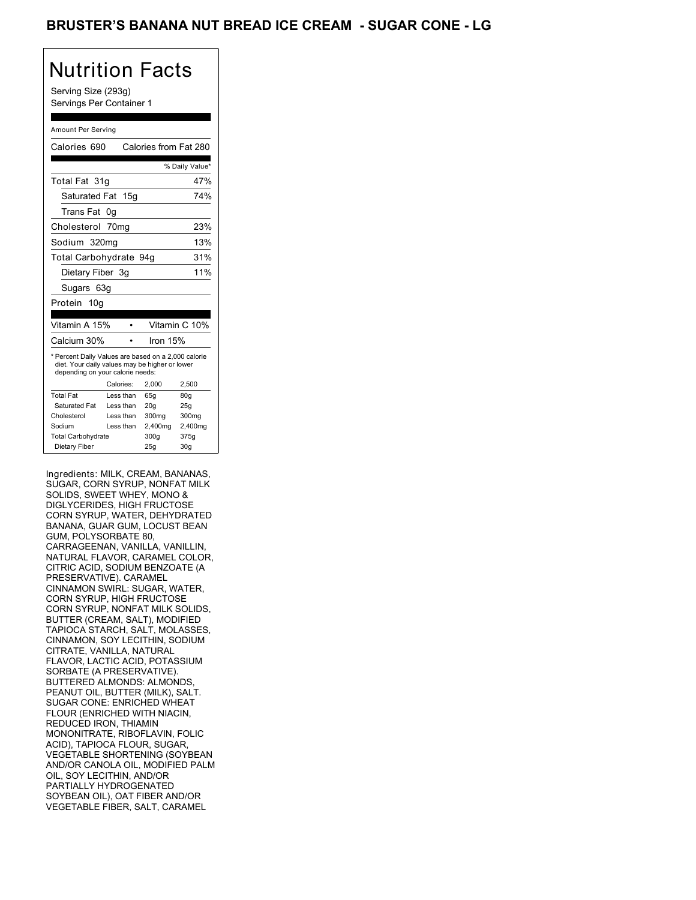## BRUSTER'S BANANA NUT BREAD ICE CREAM - SUGAR CONE - LG

# Nutrition Facts

Serving Size (293g) Servings Per Container 1

#### Amount Per Serving

| Calories 690                                                                                                                              |           | Calories from Fat 280 |                 |
|-------------------------------------------------------------------------------------------------------------------------------------------|-----------|-----------------------|-----------------|
|                                                                                                                                           |           |                       | % Daily Value*  |
| Total Fat 31q                                                                                                                             |           |                       | 47%             |
| Saturated Fat 15g                                                                                                                         |           |                       | 74%             |
| Trans Fat                                                                                                                                 | 0g        |                       |                 |
| Cholesterol 70mg                                                                                                                          |           |                       | 23%             |
| Sodium 320mg                                                                                                                              |           |                       | 13%             |
| Total Carbohydrate 94g                                                                                                                    |           |                       | 31%             |
| Dietary Fiber 3g                                                                                                                          |           |                       | 11%             |
| Sugars 63g                                                                                                                                |           |                       |                 |
| Protein 10g                                                                                                                               |           |                       |                 |
|                                                                                                                                           |           |                       |                 |
| Vitamin A 15%                                                                                                                             |           |                       | Vitamin C 10%   |
| Calcium 30%                                                                                                                               |           | Iron 15%              |                 |
| * Percent Daily Values are based on a 2,000 calorie<br>diet. Your daily values may be higher or lower<br>depending on your calorie needs: |           |                       |                 |
|                                                                                                                                           | Calories: | 2,000                 | 2,500           |
| <b>Total Fat</b>                                                                                                                          | Less than | 65q                   | 80q             |
| Saturated Fat                                                                                                                             | Less than | 20 <sub>g</sub>       | 25g             |
| Cholesterol                                                                                                                               | Less than | 300mg                 | 300mg           |
| Sodium                                                                                                                                    | Less than | 2,400mg               | 2,400mg         |
| <b>Total Carbohydrate</b>                                                                                                                 |           | 300q                  | 375g            |
| Dietary Fiber                                                                                                                             |           | 25q                   | 30 <sub>g</sub> |

Ingredients: MILK, CREAM, BANANAS, SUGAR, CORN SYRUP, NONFAT MILK SOLIDS, SWEET WHEY, MONO & DIGLYCERIDES, HIGH FRUCTOSE CORN SYRUP, WATER, DEHYDRATED BANANA, GUAR GUM, LOCUST BEAN GUM, POLYSORBATE 80, CARRAGEENAN, VANILLA, VANILLIN, NATURAL FLAVOR, CARAMEL COLOR, CITRIC ACID, SODIUM BENZOATE (A PRESERVATIVE). CARAMEL CINNAMON SWIRL: SUGAR, WATER, CORN SYRUP, HIGH FRUCTOSE CORN SYRUP, NONFAT MILK SOLIDS, BUTTER (CREAM, SALT), MODIFIED TAPIOCA STARCH, SALT, MOLASSES, CINNAMON, SOY LECITHIN, SODIUM CITRATE, VANILLA, NATURAL FLAVOR, LACTIC ACID, POTASSIUM SORBATE (A PRESERVATIVE). BUTTERED ALMONDS: ALMONDS, PEANUT OIL, BUTTER (MILK), SALT. SUGAR CONE: ENRICHED WHEAT FLOUR (ENRICHED WITH NIACIN, REDUCED IRON, THIAMIN MONONITRATE, RIBOFLAVIN, FOLIC ACID), TAPIOCA FLOUR, SUGAR, VEGETABLE SHORTENING (SOYBEAN AND/OR CANOLA OIL, MODIFIED PALM OIL, SOY LECITHIN, AND/OR PARTIALLY HYDROGENATED SOYBEAN OIL), OAT FIBER AND/OR VEGETABLE FIBER, SALT, CARAMEL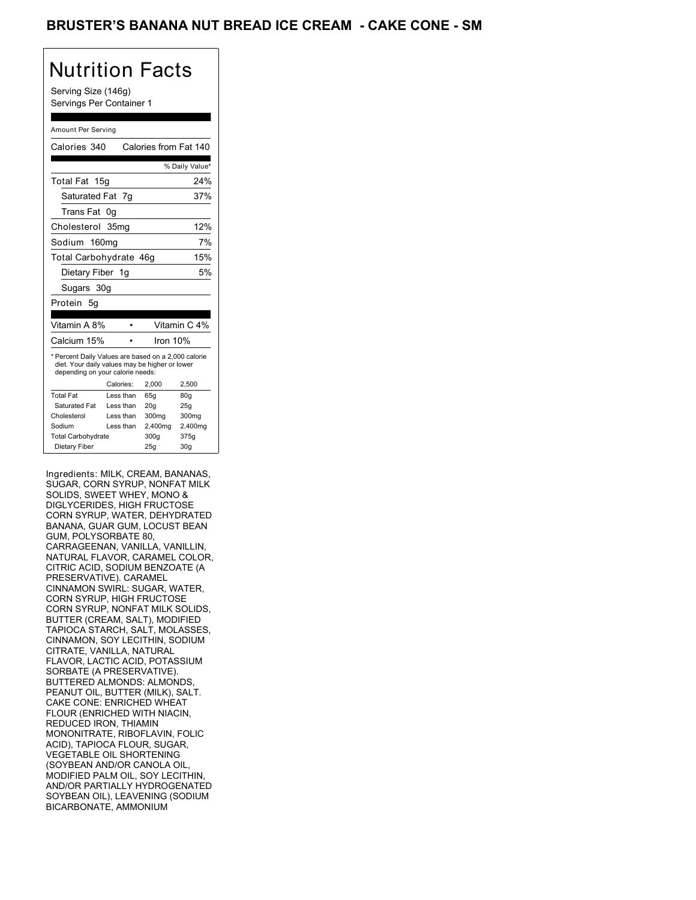## BRUSTER'S BANANA NUT BREAD ICE CREAM **- CAKE CONE - SM**

# Nutrition Facts

Serving Size (146g) Servings Per Container 1

#### Amount Per Serving

| Calories 340                                                                                                                              |           | Calories from Fat 140 |                 |
|-------------------------------------------------------------------------------------------------------------------------------------------|-----------|-----------------------|-----------------|
|                                                                                                                                           |           |                       | % Daily Value*  |
| <b>Total Fat</b><br>15g                                                                                                                   |           |                       | 24%             |
| Saturated Fat 7q                                                                                                                          |           |                       | 37%             |
| Trans Fat                                                                                                                                 | 0g        |                       |                 |
| Cholesterol 35mg                                                                                                                          |           |                       | 12%             |
| Sodium 160mg                                                                                                                              |           |                       | 7%              |
| Total Carbohydrate 46g                                                                                                                    |           |                       | 15%             |
| Dietary Fiber 1g                                                                                                                          |           |                       | 5%              |
| Sugars 30g                                                                                                                                |           |                       |                 |
| Protein 5q                                                                                                                                |           |                       |                 |
|                                                                                                                                           |           |                       |                 |
| Vitamin A 8%                                                                                                                              |           |                       | Vitamin C 4%    |
| Calcium 15%                                                                                                                               |           | Iron $10%$            |                 |
| * Percent Daily Values are based on a 2,000 calorie<br>diet. Your daily values may be higher or lower<br>depending on your calorie needs: |           |                       |                 |
|                                                                                                                                           | Calories: | 2.000                 | 2,500           |
| <b>Total Fat</b>                                                                                                                          | Less than | 65q                   | 80q             |
| Saturated Fat                                                                                                                             | Less than | 20 <sub>g</sub>       | 25g             |
| Cholesterol                                                                                                                               | Less than | 300mg                 | 300mg           |
| Sodium                                                                                                                                    | Less than | 2,400mg               | 2,400mg         |
| <b>Total Carbohydrate</b>                                                                                                                 |           | 300q                  | 375g            |
| Dietary Fiber                                                                                                                             |           | 25g                   | 30 <sub>g</sub> |

Ingredients: MILK, CREAM, BANANAS, SUGAR, CORN SYRUP, NONFAT MILK SOLIDS, SWEET WHEY, MONO & DIGLYCERIDES, HIGH FRUCTOSE CORN SYRUP, WATER, DEHYDRATED BANANA, GUAR GUM, LOCUST BEAN GUM, POLYSORBATE 80, CARRAGEENAN, VANILLA, VANILLIN, NATURAL FLAVOR, CARAMEL COLOR, CITRIC ACID, SODIUM BENZOATE (A PRESERVATIVE). CARAMEL CINNAMON SWIRL: SUGAR, WATER, CORN SYRUP, HIGH FRUCTOSE CORN SYRUP, NONFAT MILK SOLIDS, BUTTER (CREAM, SALT), MODIFIED TAPIOCA STARCH, SALT, MOLASSES, CINNAMON, SOY LECITHIN, SODIUM CITRATE, VANILLA, NATURAL FLAVOR, LACTIC ACID, POTASSIUM SORBATE (A PRESERVATIVE). BUTTERED ALMONDS: ALMONDS, PEANUT OIL, BUTTER (MILK), SALT. CAKE CONE: ENRICHED WHEAT FLOUR (ENRICHED WITH NIACIN, REDUCED IRON, THIAMIN MONONITRATE, RIBOFLAVIN, FOLIC ACID), TAPIOCA FLOUR, SUGAR, VEGETABLE OIL SHORTENING (SOYBEAN AND/OR CANOLA OIL, MODIFIED PALM OIL, SOY LECITHIN, AND/OR PARTIALLY HYDROGENATED SOYBEAN OIL), LEAVENING (SODIUM BICARBONATE, AMMONIUM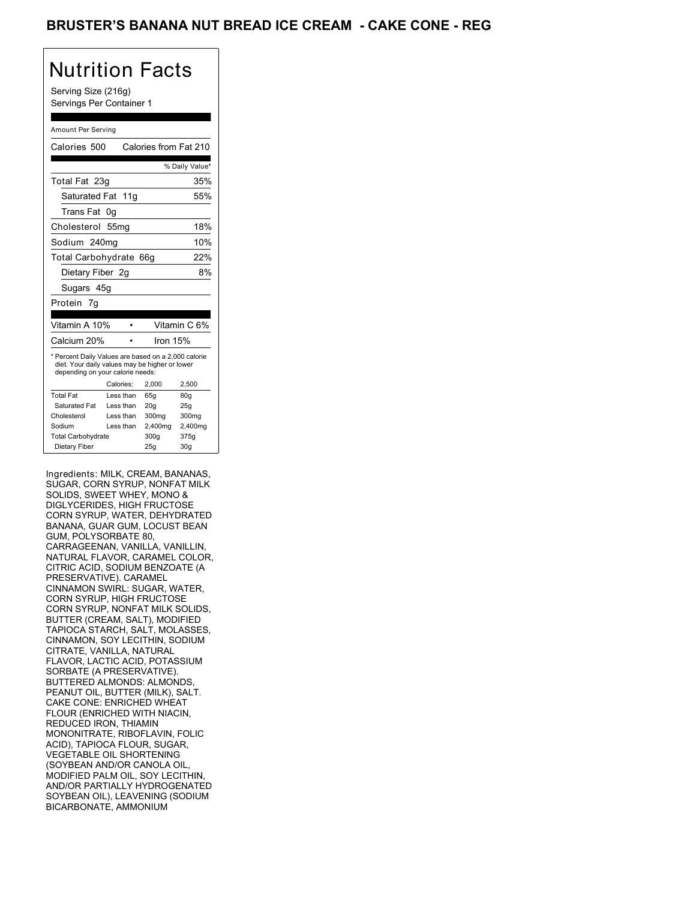## BRUSTER'S BANANA NUT BREAD ICE CREAM **- CAKE CONE - REG**

# Nutrition Facts

Serving Size (216g) Servings Per Container 1

#### Amount Per Serving

| Calories 500                                                                                                                              |           |           | Calories from Fat 210 |                 |
|-------------------------------------------------------------------------------------------------------------------------------------------|-----------|-----------|-----------------------|-----------------|
|                                                                                                                                           |           |           |                       | % Daily Value*  |
| Total Fat 23g                                                                                                                             |           |           |                       | 35%             |
| Saturated Fat 11g                                                                                                                         |           |           |                       | 55%             |
| <b>Trans Fat</b>                                                                                                                          | 0g        |           |                       |                 |
| Cholesterol 55mg                                                                                                                          |           |           |                       | 18%             |
| Sodium 240ma                                                                                                                              |           |           |                       | 10%             |
| Total Carbohydrate                                                                                                                        |           |           | 66g                   | 22%             |
| Dietary Fiber 2q                                                                                                                          |           |           |                       | 8%              |
| Sugars 45g                                                                                                                                |           |           |                       |                 |
| Protein 7g                                                                                                                                |           |           |                       |                 |
|                                                                                                                                           |           |           |                       |                 |
| Vitamin A 10%                                                                                                                             |           |           |                       | Vitamin C 6%    |
| Calcium 20%                                                                                                                               |           |           | Iron 15%              |                 |
| * Percent Daily Values are based on a 2,000 calorie<br>diet. Your daily values may be higher or lower<br>depending on your calorie needs: |           |           |                       |                 |
|                                                                                                                                           | Calories: |           | 2.000                 | 2,500           |
| <b>Total Fat</b>                                                                                                                          |           | Less than | 65q                   | 80 <sub>g</sub> |
| Saturated Fat                                                                                                                             |           | Less than | 20q                   | 25q             |
| Cholesterol                                                                                                                               |           | Less than | 300mg                 | 300mg           |
| Sodium                                                                                                                                    |           | Less than | 2,400mg               | 2,400mg         |
| <b>Total Carbohydrate</b>                                                                                                                 |           |           | 300q                  | 375g            |
| Dietary Fiber                                                                                                                             |           |           | 25g                   | 30 <sub>g</sub> |

Ingredients: MILK, CREAM, BANANAS, SUGAR, CORN SYRUP, NONFAT MILK SOLIDS, SWEET WHEY, MONO & DIGLYCERIDES, HIGH FRUCTOSE CORN SYRUP, WATER, DEHYDRATED BANANA, GUAR GUM, LOCUST BEAN GUM, POLYSORBATE 80, CARRAGEENAN, VANILLA, VANILLIN, NATURAL FLAVOR, CARAMEL COLOR, CITRIC ACID, SODIUM BENZOATE (A PRESERVATIVE). CARAMEL CINNAMON SWIRL: SUGAR, WATER, CORN SYRUP, HIGH FRUCTOSE CORN SYRUP, NONFAT MILK SOLIDS, BUTTER (CREAM, SALT), MODIFIED TAPIOCA STARCH, SALT, MOLASSES, CINNAMON, SOY LECITHIN, SODIUM CITRATE, VANILLA, NATURAL FLAVOR, LACTIC ACID, POTASSIUM SORBATE (A PRESERVATIVE). BUTTERED ALMONDS: ALMONDS, PEANUT OIL, BUTTER (MILK), SALT. CAKE CONE: ENRICHED WHEAT FLOUR (ENRICHED WITH NIACIN, REDUCED IRON, THIAMIN MONONITRATE, RIBOFLAVIN, FOLIC ACID), TAPIOCA FLOUR, SUGAR, VEGETABLE OIL SHORTENING (SOYBEAN AND/OR CANOLA OIL, MODIFIED PALM OIL, SOY LECITHIN, AND/OR PARTIALLY HYDROGENATED SOYBEAN OIL), LEAVENING (SODIUM BICARBONATE, AMMONIUM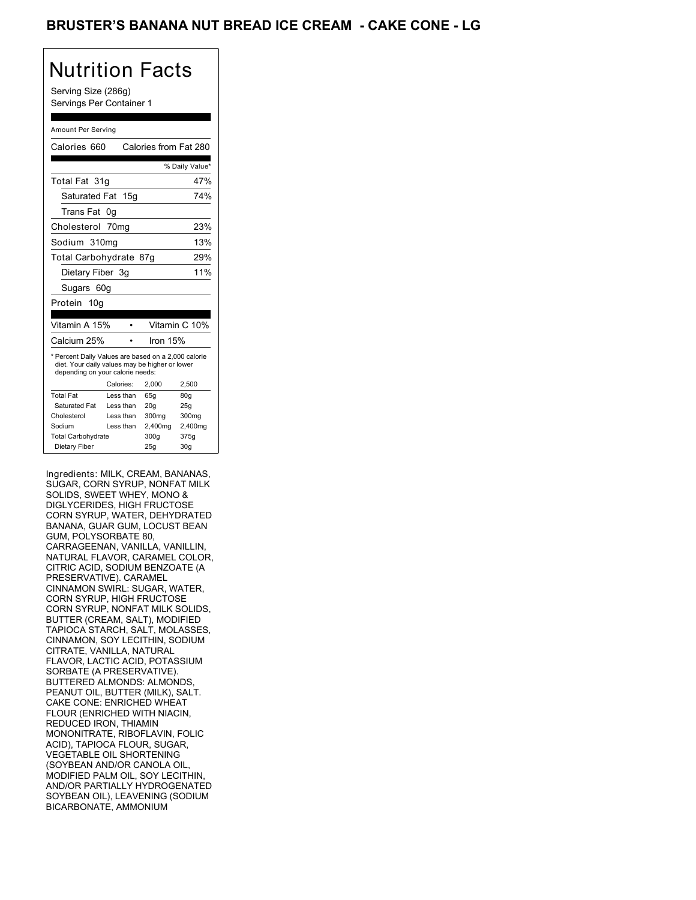## BRUSTER'S BANANA NUT BREAD ICE CREAM **- CAKE CONE - LG**

# Nutrition Facts

Serving Size (286g) Servings Per Container 1

#### Amount Per Serving

| Calories 660                                                                                                                              |           |                 | Calories from Fat 280 |
|-------------------------------------------------------------------------------------------------------------------------------------------|-----------|-----------------|-----------------------|
|                                                                                                                                           |           |                 | % Daily Value*        |
| Total Fat 31q                                                                                                                             |           |                 | 47%                   |
| Saturated Fat 15q                                                                                                                         |           |                 | 74%                   |
| Trans Fat                                                                                                                                 | 0g        |                 |                       |
| Cholesterol 70mg                                                                                                                          |           |                 | 23%                   |
| Sodium 310mg                                                                                                                              |           |                 | 13%                   |
| Total Carbohydrate 87g                                                                                                                    |           |                 | 29%                   |
| Dietary Fiber 3g                                                                                                                          |           |                 | 11%                   |
| Sugars 60g                                                                                                                                |           |                 |                       |
| Protein 10g                                                                                                                               |           |                 |                       |
|                                                                                                                                           |           |                 |                       |
| Vitamin A 15%                                                                                                                             |           |                 | Vitamin C 10%         |
| Calcium 25%                                                                                                                               |           | Iron 15%        |                       |
| * Percent Daily Values are based on a 2,000 calorie<br>diet. Your daily values may be higher or lower<br>depending on your calorie needs: |           |                 |                       |
|                                                                                                                                           | Calories: | 2,000           | 2,500                 |
| <b>Total Fat</b>                                                                                                                          | Less than | 65q             | 80q                   |
| Saturated Fat                                                                                                                             | Less than | 20 <sub>g</sub> | 25g                   |
| Cholesterol                                                                                                                               | Less than | 300mg           | 300mg                 |
| Sodium                                                                                                                                    | Less than | 2,400mg         | 2,400mg               |
| <b>Total Carbohydrate</b>                                                                                                                 |           | 300q            | 375g                  |
| Dietary Fiber                                                                                                                             |           | 25q             | 30 <sub>g</sub>       |

Ingredients: MILK, CREAM, BANANAS, SUGAR, CORN SYRUP, NONFAT MILK SOLIDS, SWEET WHEY, MONO & DIGLYCERIDES, HIGH FRUCTOSE CORN SYRUP, WATER, DEHYDRATED BANANA, GUAR GUM, LOCUST BEAN GUM, POLYSORBATE 80, CARRAGEENAN, VANILLA, VANILLIN, NATURAL FLAVOR, CARAMEL COLOR, CITRIC ACID, SODIUM BENZOATE (A PRESERVATIVE). CARAMEL CINNAMON SWIRL: SUGAR, WATER, CORN SYRUP, HIGH FRUCTOSE CORN SYRUP, NONFAT MILK SOLIDS, BUTTER (CREAM, SALT), MODIFIED TAPIOCA STARCH, SALT, MOLASSES, CINNAMON, SOY LECITHIN, SODIUM CITRATE, VANILLA, NATURAL FLAVOR, LACTIC ACID, POTASSIUM SORBATE (A PRESERVATIVE). BUTTERED ALMONDS: ALMONDS, PEANUT OIL, BUTTER (MILK), SALT. CAKE CONE: ENRICHED WHEAT FLOUR (ENRICHED WITH NIACIN, REDUCED IRON, THIAMIN MONONITRATE, RIBOFLAVIN, FOLIC ACID), TAPIOCA FLOUR, SUGAR, VEGETABLE OIL SHORTENING (SOYBEAN AND/OR CANOLA OIL, MODIFIED PALM OIL, SOY LECITHIN, AND/OR PARTIALLY HYDROGENATED SOYBEAN OIL), LEAVENING (SODIUM BICARBONATE, AMMONIUM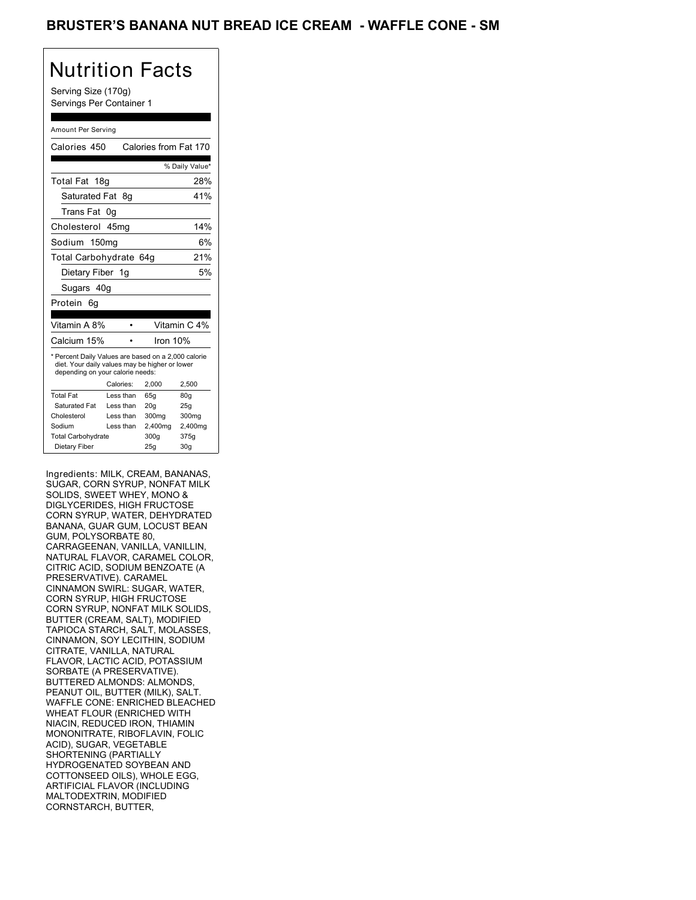## BRUSTER'S BANANA NUT BREAD ICE CREAM - WAFFLE CONE - SM

## Nutrition Facts

Serving Size (170g) Servings Per Container 1

#### Amount Per Serving

| Calories 450                                                                                                                              |           |                 | Calories from Fat 170 |
|-------------------------------------------------------------------------------------------------------------------------------------------|-----------|-----------------|-----------------------|
|                                                                                                                                           |           |                 | % Daily Value*        |
| Total Fat<br>18a                                                                                                                          |           |                 | 28%                   |
| Saturated Fat 8q                                                                                                                          |           |                 | 41%                   |
| Trans Fat                                                                                                                                 | 0g        |                 |                       |
| Cholesterol 45mg                                                                                                                          |           |                 | 14%                   |
| Sodium 150mg                                                                                                                              |           |                 | 6%                    |
| Total Carbohydrate 64g                                                                                                                    |           |                 | 21%                   |
| Dietary Fiber 1g                                                                                                                          |           |                 | 5%                    |
| Sugars 40g                                                                                                                                |           |                 |                       |
| Protein<br>6g                                                                                                                             |           |                 |                       |
|                                                                                                                                           |           |                 |                       |
| Vitamin A 8%                                                                                                                              |           |                 | Vitamin C 4%          |
| Calcium 15%                                                                                                                               |           | Iron $10%$      |                       |
| * Percent Daily Values are based on a 2,000 calorie<br>diet. Your daily values may be higher or lower<br>depending on your calorie needs: |           |                 |                       |
|                                                                                                                                           | Calories: | 2,000           | 2,500                 |
| <b>Total Fat</b>                                                                                                                          | Less than | 65q             | 80q                   |
| Saturated Fat                                                                                                                             | Less than | 20 <sub>g</sub> | 25g                   |
| Cholesterol                                                                                                                               | Less than | 300mg           | 300mg                 |
| Sodium                                                                                                                                    | Less than | 2,400mg         | 2,400mg               |
| <b>Total Carbohydrate</b>                                                                                                                 |           | 300g            | 375g                  |
| Dietary Fiber                                                                                                                             |           | 25q             | 30q                   |

Ingredients: MILK, CREAM, BANANAS, SUGAR, CORN SYRUP, NONFAT MILK SOLIDS, SWEET WHEY, MONO & DIGLYCERIDES, HIGH FRUCTOSE CORN SYRUP, WATER, DEHYDRATED BANANA, GUAR GUM, LOCUST BEAN GUM, POLYSORBATE 80, CARRAGEENAN, VANILLA, VANILLIN, NATURAL FLAVOR, CARAMEL COLOR, CITRIC ACID, SODIUM BENZOATE (A PRESERVATIVE). CARAMEL CINNAMON SWIRL: SUGAR, WATER, CORN SYRUP, HIGH FRUCTOSE CORN SYRUP, NONFAT MILK SOLIDS, BUTTER (CREAM, SALT), MODIFIED TAPIOCA STARCH, SALT, MOLASSES, CINNAMON, SOY LECITHIN, SODIUM CITRATE, VANILLA, NATURAL FLAVOR, LACTIC ACID, POTASSIUM SORBATE (A PRESERVATIVE). BUTTERED ALMONDS: ALMONDS, PEANUT OIL, BUTTER (MILK), SALT. WAFFLE CONE: ENRICHED BLEACHED WHEAT FLOUR (ENRICHED WITH NIACIN, REDUCED IRON, THIAMIN MONONITRATE, RIBOFLAVIN, FOLIC ACID), SUGAR, VEGETABLE SHORTENING (PARTIALLY HYDROGENATED SOYBEAN AND COTTONSEED OILS), WHOLE EGG, ARTIFICIAL FLAVOR (INCLUDING MALTODEXTRIN, MODIFIED CORNSTARCH, BUTTER,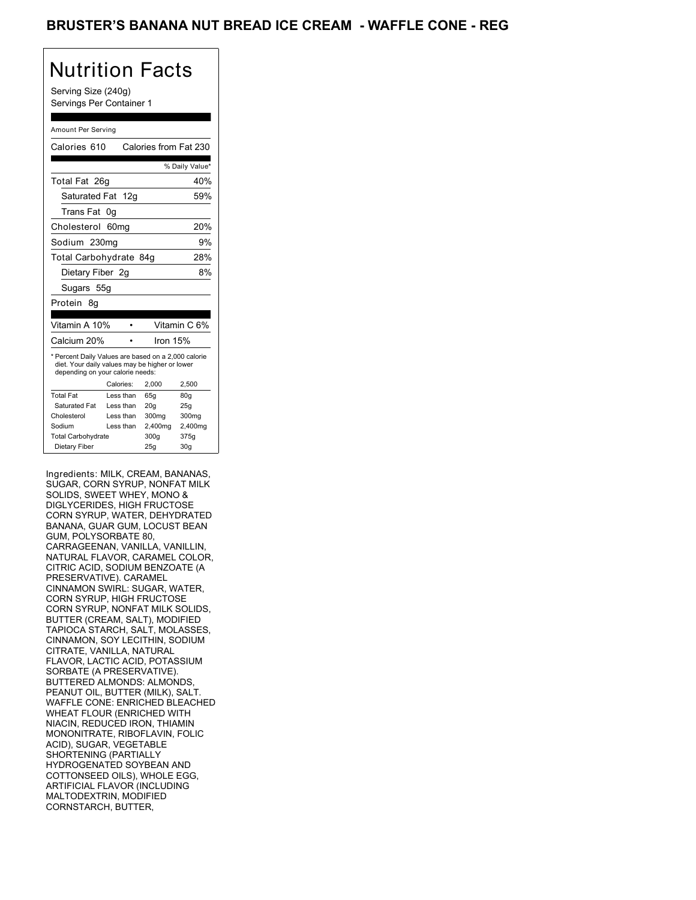## BRUSTER'S BANANA NUT BREAD ICE CREAM - WAFFLE CONE - REG

## Nutrition Facts

Serving Size (240g) Servings Per Container 1

#### Amount Per Serving

| Calories 610                                                                                                                              |           | Calories from Fat 230 |                 |
|-------------------------------------------------------------------------------------------------------------------------------------------|-----------|-----------------------|-----------------|
|                                                                                                                                           |           |                       | % Daily Value*  |
| Total Fat 26g                                                                                                                             |           |                       | 40%             |
| Saturated Fat 12g                                                                                                                         |           |                       | 59%             |
| Trans Fat                                                                                                                                 | 0g        |                       |                 |
| Cholesterol 60mg                                                                                                                          |           |                       | 20%             |
| Sodium 230mg                                                                                                                              |           |                       | 9%              |
| Total Carbohydrate 84g                                                                                                                    |           |                       | 28%             |
| Dietary Fiber 2g                                                                                                                          |           |                       | 8%              |
| Sugars 55g                                                                                                                                |           |                       |                 |
| Protein<br>8g                                                                                                                             |           |                       |                 |
|                                                                                                                                           |           |                       |                 |
| Vitamin A 10%                                                                                                                             |           |                       | Vitamin C 6%    |
| Calcium 20%                                                                                                                               |           | Iron $15%$            |                 |
| * Percent Daily Values are based on a 2,000 calorie<br>diet. Your daily values may be higher or lower<br>depending on your calorie needs: |           |                       |                 |
|                                                                                                                                           | Calories: | 2,000                 | 2,500           |
| <b>Total Fat</b>                                                                                                                          | Less than | 65q                   | 80q             |
| Saturated Fat                                                                                                                             | Less than | 20 <sub>g</sub>       | 25g             |
| Cholesterol                                                                                                                               | Less than | 300mg                 | 300mg           |
| Sodium                                                                                                                                    | Less than | 2,400mg               | 2,400mg         |
| <b>Total Carbohydrate</b>                                                                                                                 |           | 300q                  | 375g            |
| Dietary Fiber                                                                                                                             |           | 25g                   | 30 <sub>g</sub> |

Ingredients: MILK, CREAM, BANANAS, SUGAR, CORN SYRUP, NONFAT MILK SOLIDS, SWEET WHEY, MONO & DIGLYCERIDES, HIGH FRUCTOSE CORN SYRUP, WATER, DEHYDRATED BANANA, GUAR GUM, LOCUST BEAN GUM, POLYSORBATE 80, CARRAGEENAN, VANILLA, VANILLIN, NATURAL FLAVOR, CARAMEL COLOR, CITRIC ACID, SODIUM BENZOATE (A PRESERVATIVE). CARAMEL CINNAMON SWIRL: SUGAR, WATER, CORN SYRUP, HIGH FRUCTOSE CORN SYRUP, NONFAT MILK SOLIDS, BUTTER (CREAM, SALT), MODIFIED TAPIOCA STARCH, SALT, MOLASSES, CINNAMON, SOY LECITHIN, SODIUM CITRATE, VANILLA, NATURAL FLAVOR, LACTIC ACID, POTASSIUM SORBATE (A PRESERVATIVE). BUTTERED ALMONDS: ALMONDS, PEANUT OIL, BUTTER (MILK), SALT. WAFFLE CONE: ENRICHED BLEACHED WHEAT FLOUR (ENRICHED WITH NIACIN, REDUCED IRON, THIAMIN MONONITRATE, RIBOFLAVIN, FOLIC ACID), SUGAR, VEGETABLE SHORTENING (PARTIALLY HYDROGENATED SOYBEAN AND COTTONSEED OILS), WHOLE EGG, ARTIFICIAL FLAVOR (INCLUDING MALTODEXTRIN, MODIFIED CORNSTARCH, BUTTER,